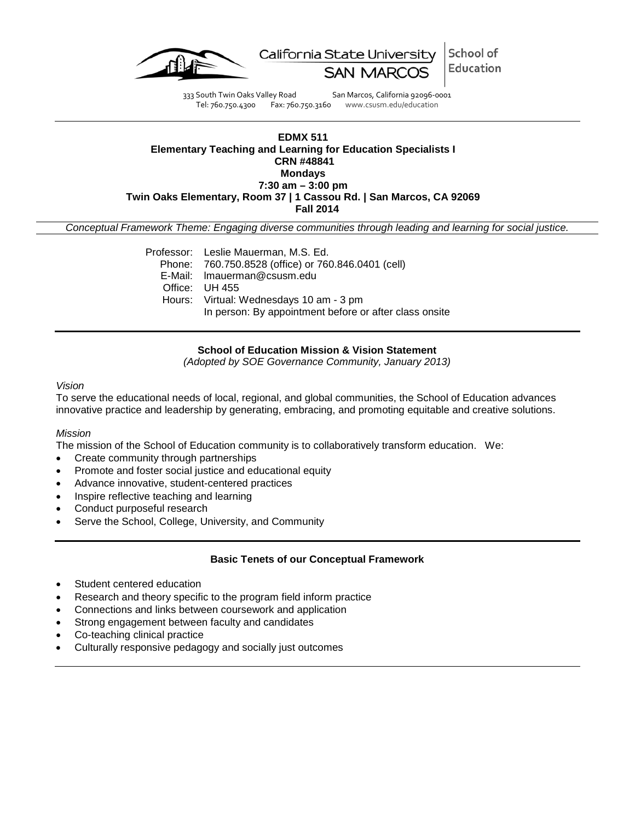

School of California State University Education

333 South Twin Oaks Valley Road San Marcos, California 92096-0001<br>Tel: 760.750.4300 Fax: 760.750.3160 www.csusm.edu/education

Fax: 760.750.3160 www.csusm.edu/education

### **EDMX 511 Elementary Teaching and Learning for Education Specialists I CRN #48841 Mondays 7:30 am – 3:00 pm Twin Oaks Elementary, Room 37 | 1 Cassou Rd. | San Marcos, CA 92069 Fall 2014**

*Conceptual Framework Theme: Engaging diverse communities through leading and learning for social justice.*

Professor: Leslie Mauerman, M.S. Ed. Phone: 760.750.8528 (office) or 760.846.0401 (cell) E-Mail: lmauerman@csusm.edu Office: UH 455 Hours: Virtual: Wednesdays 10 am - 3 pm In person: By appointment before or after class onsite

**School of Education Mission & Vision Statement**

*(Adopted by SOE Governance Community, January 2013)*

#### *Vision*

To serve the educational needs of local, regional, and global communities, the School of Education advances innovative practice and leadership by generating, embracing, and promoting equitable and creative solutions.

#### *Mission*

The mission of the School of Education community is to collaboratively transform education. We:

- Create community through partnerships
- Promote and foster social justice and educational equity
- Advance innovative, student-centered practices
- Inspire reflective teaching and learning
- Conduct purposeful research
- Serve the School, College, University, and Community

#### **Basic Tenets of our Conceptual Framework**

- Student centered education
- Research and theory specific to the program field inform practice
- Connections and links between coursework and application
- Strong engagement between faculty and candidates
- Co-teaching clinical practice
- Culturally responsive pedagogy and socially just outcomes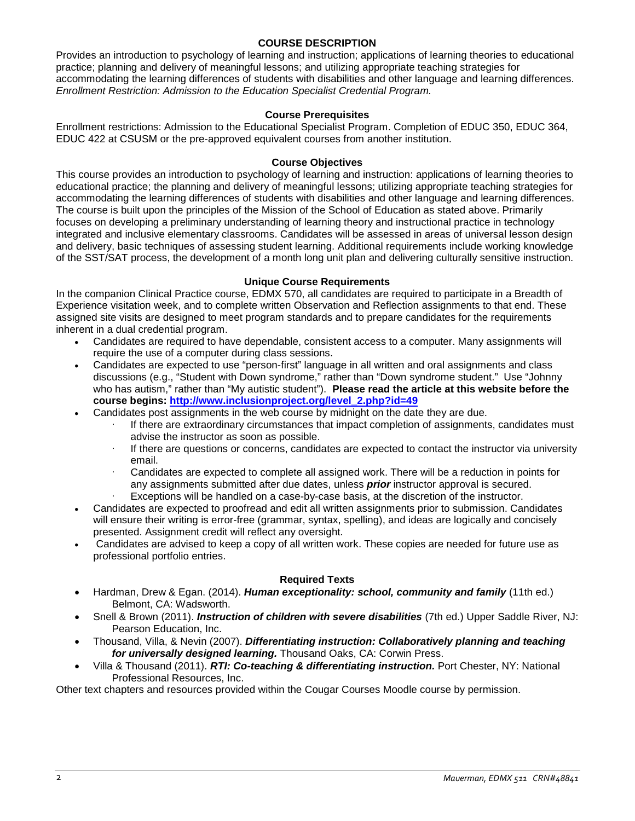### **COURSE DESCRIPTION**

Provides an introduction to psychology of learning and instruction; applications of learning theories to educational practice; planning and delivery of meaningful lessons; and utilizing appropriate teaching strategies for accommodating the learning differences of students with disabilities and other language and learning differences. *Enrollment Restriction: Admission to the Education Specialist Credential Program.* 

### **Course Prerequisites**

Enrollment restrictions: Admission to the Educational Specialist Program. Completion of EDUC 350, EDUC 364, EDUC 422 at CSUSM or the pre-approved equivalent courses from another institution.

#### **Course Objectives**

This course provides an introduction to psychology of learning and instruction: applications of learning theories to educational practice; the planning and delivery of meaningful lessons; utilizing appropriate teaching strategies for accommodating the learning differences of students with disabilities and other language and learning differences. The course is built upon the principles of the Mission of the School of Education as stated above. Primarily focuses on developing a preliminary understanding of learning theory and instructional practice in technology integrated and inclusive elementary classrooms. Candidates will be assessed in areas of universal lesson design and delivery, basic techniques of assessing student learning. Additional requirements include working knowledge of the SST/SAT process, the development of a month long unit plan and delivering culturally sensitive instruction.

### **Unique Course Requirements**

In the companion Clinical Practice course, EDMX 570, all candidates are required to participate in a Breadth of Experience visitation week, and to complete written Observation and Reflection assignments to that end. These assigned site visits are designed to meet program standards and to prepare candidates for the requirements inherent in a dual credential program.

- Candidates are required to have dependable, consistent access to a computer. Many assignments will require the use of a computer during class sessions.
- Candidates are expected to use "person-first" language in all written and oral assignments and class discussions (e.g., "Student with Down syndrome," rather than "Down syndrome student." Use "Johnny who has autism," rather than "My autistic student"). **Please read the article at this website before the course begins: [http://www.inclusionproject.org/level\\_2.php?id=49](http://www.inclusionproject.org/level_2.php?id=49)**
- Candidates post assignments in the web course by midnight on the date they are due.
	- If there are extraordinary circumstances that impact completion of assignments, candidates must advise the instructor as soon as possible.
	- $\cdot$  If there are questions or concerns, candidates are expected to contact the instructor via university email.
	- Candidates are expected to complete all assigned work. There will be a reduction in points for any assignments submitted after due dates, unless *prior* instructor approval is secured.
	- Exceptions will be handled on a case-by-case basis, at the discretion of the instructor.
- Candidates are expected to proofread and edit all written assignments prior to submission. Candidates will ensure their writing is error-free (grammar, syntax, spelling), and ideas are logically and concisely presented. Assignment credit will reflect any oversight.
- Candidates are advised to keep a copy of all written work. These copies are needed for future use as professional portfolio entries.

### **Required Texts**

- Hardman, Drew & Egan. (2014). *Human exceptionality: school, community and family* (11th ed.) Belmont, CA: Wadsworth.
- Snell & Brown (2011). *Instruction of children with severe disabilities* (7th ed.) Upper Saddle River, NJ: Pearson Education, Inc.
- Thousand, Villa, & Nevin (2007). *Differentiating instruction: Collaboratively planning and teaching for universally designed learning.* Thousand Oaks, CA: Corwin Press.
- Villa & Thousand (2011). *RTI: Co-teaching & differentiating instruction.* Port Chester, NY: National Professional Resources, Inc.

Other text chapters and resources provided within the Cougar Courses Moodle course by permission.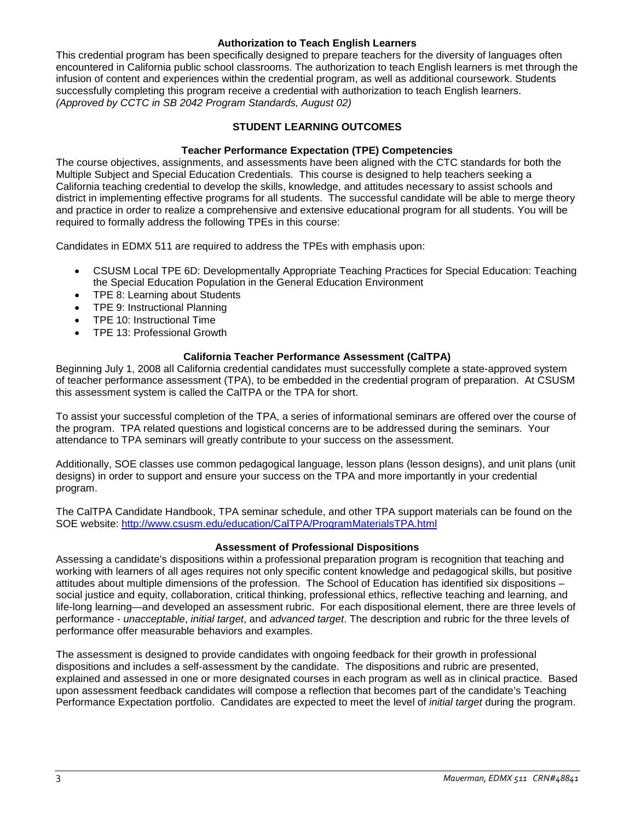### **Authorization to Teach English Learners**

This credential program has been specifically designed to prepare teachers for the diversity of languages often encountered in California public school classrooms. The authorization to teach English learners is met through the infusion of content and experiences within the credential program, as well as additional coursework. Students successfully completing this program receive a credential with authorization to teach English learners. *(Approved by CCTC in SB 2042 Program Standards, August 02)*

### **STUDENT LEARNING OUTCOMES**

### **Teacher Performance Expectation (TPE) Competencies**

The course objectives, assignments, and assessments have been aligned with the CTC standards for both the Multiple Subject and Special Education Credentials. This course is designed to help teachers seeking a California teaching credential to develop the skills, knowledge, and attitudes necessary to assist schools and district in implementing effective programs for all students. The successful candidate will be able to merge theory and practice in order to realize a comprehensive and extensive educational program for all students. You will be required to formally address the following TPEs in this course:

Candidates in EDMX 511 are required to address the TPEs with emphasis upon:

- CSUSM Local TPE 6D: Developmentally Appropriate Teaching Practices for Special Education: Teaching the Special Education Population in the General Education Environment
- TPE 8: Learning about Students
- TPE 9: Instructional Planning
- TPE 10: Instructional Time
- TPE 13: Professional Growth

## **California Teacher Performance Assessment (CalTPA)**

Beginning July 1, 2008 all California credential candidates must successfully complete a state-approved system of teacher performance assessment (TPA), to be embedded in the credential program of preparation. At CSUSM this assessment system is called the CalTPA or the TPA for short.

To assist your successful completion of the TPA, a series of informational seminars are offered over the course of the program. TPA related questions and logistical concerns are to be addressed during the seminars. Your attendance to TPA seminars will greatly contribute to your success on the assessment.

Additionally, SOE classes use common pedagogical language, lesson plans (lesson designs), and unit plans (unit designs) in order to support and ensure your success on the TPA and more importantly in your credential program.

The CalTPA Candidate Handbook, TPA seminar schedule, and other TPA support materials can be found on the SOE website:<http://www.csusm.edu/education/CalTPA/ProgramMaterialsTPA.html>

### **Assessment of Professional Dispositions**

Assessing a candidate's dispositions within a professional preparation program is recognition that teaching and working with learners of all ages requires not only specific content knowledge and pedagogical skills, but positive attitudes about multiple dimensions of the profession. The School of Education has identified six dispositions – social justice and equity, collaboration, critical thinking, professional ethics, reflective teaching and learning, and life-long learning—and developed an assessment rubric. For each dispositional element, there are three levels of performance - *unacceptable*, *initial target*, and *advanced target*. The description and rubric for the three levels of performance offer measurable behaviors and examples.

The assessment is designed to provide candidates with ongoing feedback for their growth in professional dispositions and includes a self-assessment by the candidate. The dispositions and rubric are presented, explained and assessed in one or more designated courses in each program as well as in clinical practice. Based upon assessment feedback candidates will compose a reflection that becomes part of the candidate's Teaching Performance Expectation portfolio. Candidates are expected to meet the level of *initial target* during the program.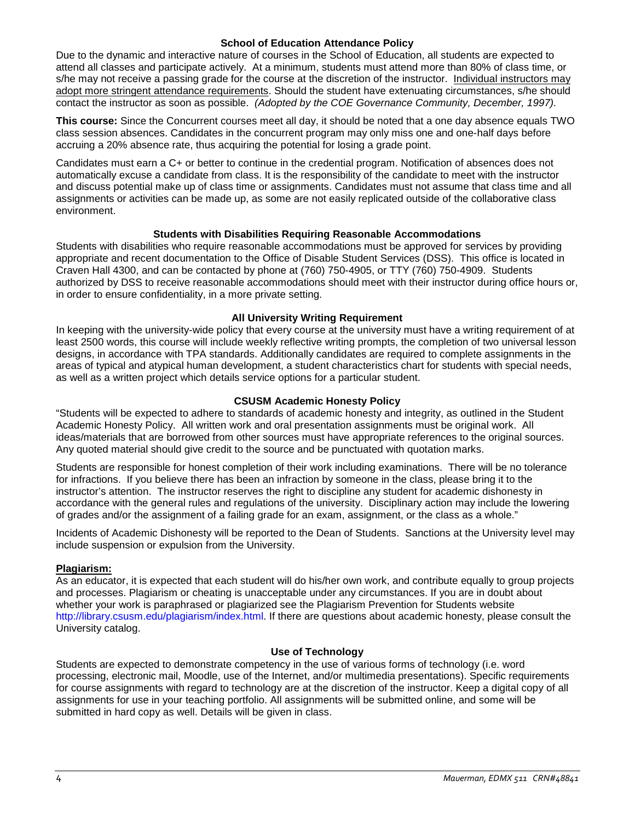#### **School of Education Attendance Policy**

Due to the dynamic and interactive nature of courses in the School of Education, all students are expected to attend all classes and participate actively. At a minimum, students must attend more than 80% of class time, or s/he may not receive a passing grade for the course at the discretion of the instructor. Individual instructors may adopt more stringent attendance requirements. Should the student have extenuating circumstances, s/he should contact the instructor as soon as possible. *(Adopted by the COE Governance Community, December, 1997).*

**This course:** Since the Concurrent courses meet all day, it should be noted that a one day absence equals TWO class session absences. Candidates in the concurrent program may only miss one and one-half days before accruing a 20% absence rate, thus acquiring the potential for losing a grade point.

Candidates must earn a C+ or better to continue in the credential program. Notification of absences does not automatically excuse a candidate from class. It is the responsibility of the candidate to meet with the instructor and discuss potential make up of class time or assignments. Candidates must not assume that class time and all assignments or activities can be made up, as some are not easily replicated outside of the collaborative class environment.

### **Students with Disabilities Requiring Reasonable Accommodations**

Students with disabilities who require reasonable accommodations must be approved for services by providing appropriate and recent documentation to the Office of Disable Student Services (DSS). This office is located in Craven Hall 4300, and can be contacted by phone at (760) 750-4905, or TTY (760) 750-4909. Students authorized by DSS to receive reasonable accommodations should meet with their instructor during office hours or, in order to ensure confidentiality, in a more private setting.

### **All University Writing Requirement**

In keeping with the university-wide policy that every course at the university must have a writing requirement of at least 2500 words, this course will include weekly reflective writing prompts, the completion of two universal lesson designs, in accordance with TPA standards. Additionally candidates are required to complete assignments in the areas of typical and atypical human development, a student characteristics chart for students with special needs, as well as a written project which details service options for a particular student.

### **CSUSM Academic Honesty Policy**

"Students will be expected to adhere to standards of academic honesty and integrity, as outlined in the Student Academic Honesty Policy. All written work and oral presentation assignments must be original work. All ideas/materials that are borrowed from other sources must have appropriate references to the original sources. Any quoted material should give credit to the source and be punctuated with quotation marks.

Students are responsible for honest completion of their work including examinations. There will be no tolerance for infractions. If you believe there has been an infraction by someone in the class, please bring it to the instructor's attention. The instructor reserves the right to discipline any student for academic dishonesty in accordance with the general rules and regulations of the university. Disciplinary action may include the lowering of grades and/or the assignment of a failing grade for an exam, assignment, or the class as a whole."

Incidents of Academic Dishonesty will be reported to the Dean of Students. Sanctions at the University level may include suspension or expulsion from the University.

### **Plagiarism:**

As an educator, it is expected that each student will do his/her own work, and contribute equally to group projects and processes. Plagiarism or cheating is unacceptable under any circumstances. If you are in doubt about whether your work is paraphrased or plagiarized see the Plagiarism Prevention for Students website http://library.csusm.edu/plagiarism/index.html. If there are questions about academic honesty, please consult the University catalog.

#### **Use of Technology**

Students are expected to demonstrate competency in the use of various forms of technology (i.e. word processing, electronic mail, Moodle, use of the Internet, and/or multimedia presentations). Specific requirements for course assignments with regard to technology are at the discretion of the instructor. Keep a digital copy of all assignments for use in your teaching portfolio. All assignments will be submitted online, and some will be submitted in hard copy as well. Details will be given in class.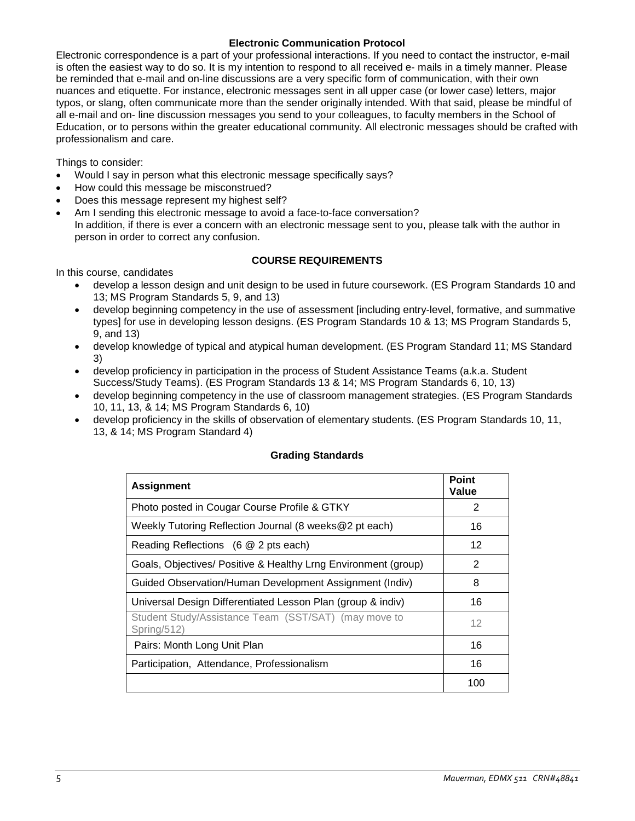### **Electronic Communication Protocol**

Electronic correspondence is a part of your professional interactions. If you need to contact the instructor, e-mail is often the easiest way to do so. It is my intention to respond to all received e- mails in a timely manner. Please be reminded that e-mail and on-line discussions are a very specific form of communication, with their own nuances and etiquette. For instance, electronic messages sent in all upper case (or lower case) letters, major typos, or slang, often communicate more than the sender originally intended. With that said, please be mindful of all e-mail and on- line discussion messages you send to your colleagues, to faculty members in the School of Education, or to persons within the greater educational community. All electronic messages should be crafted with professionalism and care.

Things to consider:

- Would I say in person what this electronic message specifically says?
- How could this message be misconstrued?
- Does this message represent my highest self?
- Am I sending this electronic message to avoid a face-to-face conversation? In addition, if there is ever a concern with an electronic message sent to you, please talk with the author in person in order to correct any confusion.

### **COURSE REQUIREMENTS**

In this course, candidates

- develop a lesson design and unit design to be used in future coursework. (ES Program Standards 10 and 13; MS Program Standards 5, 9, and 13)
- develop beginning competency in the use of assessment [including entry-level, formative, and summative types] for use in developing lesson designs. (ES Program Standards 10 & 13; MS Program Standards 5, 9, and 13)
- develop knowledge of typical and atypical human development. (ES Program Standard 11; MS Standard 3)
- develop proficiency in participation in the process of Student Assistance Teams (a.k.a. Student Success/Study Teams). (ES Program Standards 13 & 14; MS Program Standards 6, 10, 13)
- develop beginning competency in the use of classroom management strategies. (ES Program Standards 10, 11, 13, & 14; MS Program Standards 6, 10)
- develop proficiency in the skills of observation of elementary students. (ES Program Standards 10, 11, 13, & 14; MS Program Standard 4)

| <b>Assignment</b>                                                   | Point<br>Value |
|---------------------------------------------------------------------|----------------|
| Photo posted in Cougar Course Profile & GTKY                        | 2              |
| Weekly Tutoring Reflection Journal (8 weeks@2 pt each)              | 16             |
| Reading Reflections (6 @ 2 pts each)                                | 12             |
| Goals, Objectives/ Positive & Healthy Lrng Environment (group)      | $\overline{2}$ |
| Guided Observation/Human Development Assignment (Indiv)             | 8              |
| Universal Design Differentiated Lesson Plan (group & indiv)         | 16             |
| Student Study/Assistance Team (SST/SAT) (may move to<br>Spring/512) | 12             |
| Pairs: Month Long Unit Plan                                         | 16             |
| Participation, Attendance, Professionalism                          | 16             |
|                                                                     | 100            |

### **Grading Standards**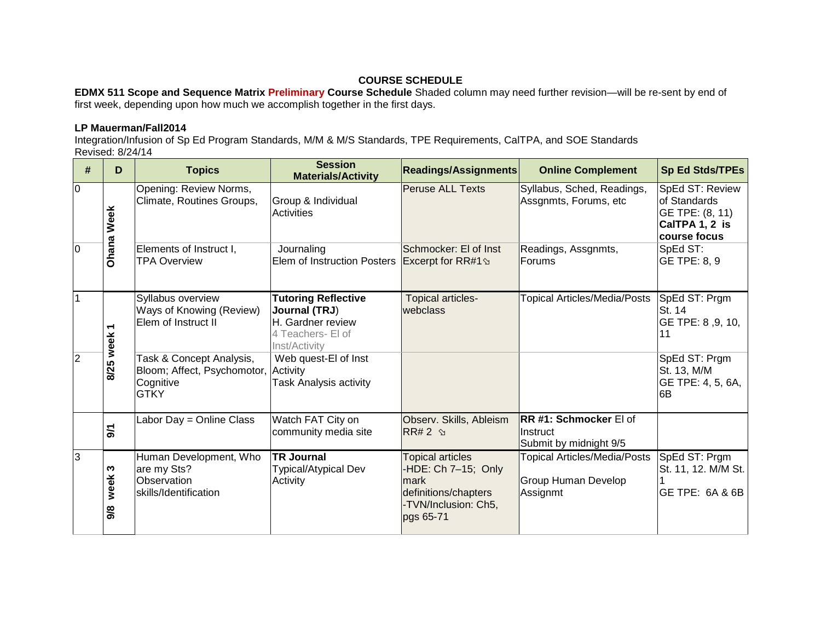# **COURSE SCHEDULE**

**EDMX 511 Scope and Sequence Matrix Preliminary Course Schedule** Shaded column may need further revision—will be re-sent by end of first week, depending upon how much we accomplish together in the first days.

# **LP Mauerman/Fall2014**

Integration/Infusion of Sp Ed Program Standards, M/M & M/S Standards, TPE Requirements, CalTPA, and SOE Standards Revised: 8/24/14

| #              | D                 | <b>Topics</b>                                                                                | <b>Session</b><br><b>Materials/Activity</b>                                                            | <b>Readings/Assignments</b>                                                                                         | <b>Online Complement</b>                                               | Sp Ed Stds/TPEs                                                                      |
|----------------|-------------------|----------------------------------------------------------------------------------------------|--------------------------------------------------------------------------------------------------------|---------------------------------------------------------------------------------------------------------------------|------------------------------------------------------------------------|--------------------------------------------------------------------------------------|
| $\overline{0}$ | <b>Ohana Week</b> | Opening: Review Norms,<br>Climate, Routines Groups,                                          | Group & Individual<br>Activities                                                                       | <b>Peruse ALL Texts</b>                                                                                             | Syllabus, Sched, Readings,<br>Assgnmts, Forums, etc                    | SpEd ST: Review<br>of Standards<br>GE TPE: (8, 11)<br>CalTPA 1, 2 is<br>course focus |
| 10             |                   | Elements of Instruct I,<br><b>TPA Overview</b>                                               | Journaling<br>Elem of Instruction Posters Excerpt for RR#1 <sup>9</sup>                                | Schmocker: El of Inst                                                                                               | Readings, Assgnmts,<br>Forums                                          | SpEd ST:<br>GE TPE: 8, 9                                                             |
|                | ᠇                 | Syllabus overview<br>Ways of Knowing (Review)<br>Elem of Instruct II                         | <b>Tutoring Reflective</b><br>Journal (TRJ)<br>H. Gardner review<br>4 Teachers- El of<br>Inst/Activity | Topical articles-<br>webclass                                                                                       | <b>Topical Articles/Media/Posts</b>                                    | SpEd ST: Prgm<br><b>St. 14</b><br>GE TPE: 8, 9, 10,<br>11                            |
| $\overline{2}$ | 8/25 week         | Task & Concept Analysis,<br>Bloom; Affect, Psychomotor, Activity<br>Cognitive<br><b>GTKY</b> | Web quest-El of Inst<br>Task Analysis activity                                                         |                                                                                                                     |                                                                        | SpEd ST: Prgm<br>St. 13, M/M<br>GE TPE: 4, 5, 6A,<br>6B                              |
|                | $\mathbf{r}$      | Labor Day = Online Class                                                                     | Watch FAT City on<br>community media site                                                              | Observ. Skills, Ableism<br>$RR#2$ $\gamma$                                                                          | <b>RR #1: Schmocker El of</b><br>Instruct<br>Submit by midnight 9/5    |                                                                                      |
| 3              | S<br>week<br>9/8  | Human Development, Who<br>are my Sts?<br>Observation<br>skills/Identification                | <b>TR Journal</b><br><b>Typical/Atypical Dev</b><br>Activity                                           | <b>Topical articles</b><br>-HDE: Ch 7-15; Only<br>mark<br>definitions/chapters<br>-TVN/Inclusion: Ch5,<br>pgs 65-71 | <b>Topical Articles/Media/Posts</b><br>Group Human Develop<br>Assignmt | SpEd ST: Prgm<br>St. 11, 12. M/M St.<br>GE TPE: 6A & 6B                              |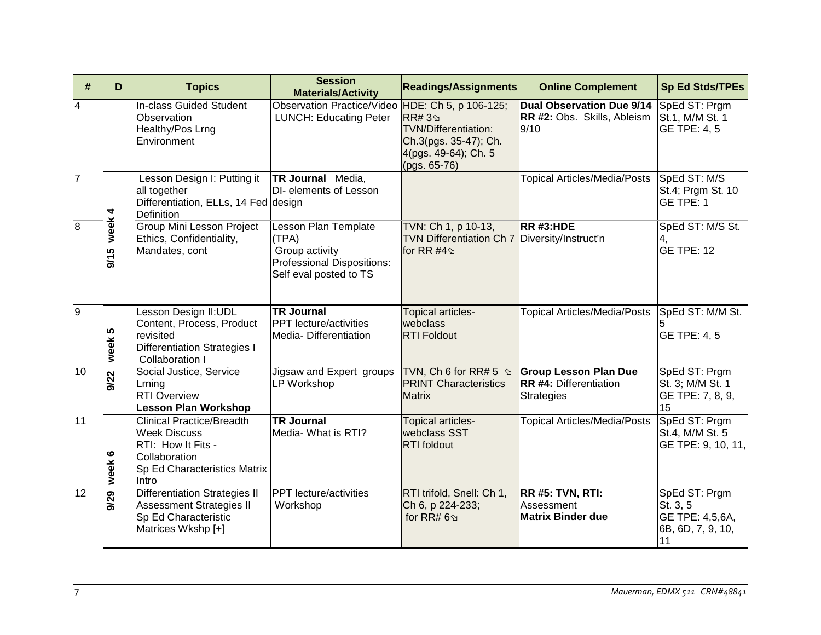| #              | D            | <b>Topics</b>                                                                                                                           | <b>Session</b><br><b>Materials/Activity</b>                                                             | <b>Readings/Assignments</b>                                                                                 | <b>Online Complement</b>                                                           | <b>Sp Ed Stds/TPEs</b>                                                  |
|----------------|--------------|-----------------------------------------------------------------------------------------------------------------------------------------|---------------------------------------------------------------------------------------------------------|-------------------------------------------------------------------------------------------------------------|------------------------------------------------------------------------------------|-------------------------------------------------------------------------|
| $\overline{4}$ |              | In-class Guided Student<br>Observation<br>Healthy/Pos Lrng<br>Environment                                                               | Observation Practice/Video HDE: Ch 5, p 106-125;<br><b>LUNCH: Educating Peter</b>                       | <b>RR#3</b><br><b>TVN/Differentiation:</b><br>Ch.3(pgs. 35-47); Ch.<br>4(pgs. 49-64); Ch. 5<br>(pgs. 65-76) | Dual Observation Due 9/14<br>RR #2: Obs. Skills, Ableism<br>9/10                   | SpEd ST: Prgm<br>St.1, M/M St. 1<br>GE TPE: 4, 5                        |
| $\overline{7}$ | 4            | Lesson Design I: Putting it<br>all together<br>Differentiation, ELLs, 14 Fed design<br>Definition                                       | TR Journal Media,<br>DI- elements of Lesson                                                             |                                                                                                             | <b>Topical Articles/Media/Posts</b>                                                | SpEd ST: M/S<br>St.4; Prgm St. 10<br>GE TPE: 1                          |
| 8              | week<br>9/15 | Group Mini Lesson Project<br>Ethics, Confidentiality,<br>Mandates, cont                                                                 | Lesson Plan Template<br>(TPA)<br>Group activity<br>Professional Dispositions:<br>Self eval posted to TS | TVN: Ch 1, p 10-13,<br>TVN Differentiation Ch 7 Diversity/Instruct'n<br>for RR #4 $\Im$                     | $RR$ #3:HDE                                                                        | SpEd ST: M/S St.<br>4,<br>GE TPE: 12                                    |
| $\overline{9}$ | week 5       | Lesson Design II:UDL<br>Content, Process, Product<br>revisited<br><b>Differentiation Strategies I</b><br>Collaboration I                | <b>TR Journal</b><br><b>PPT</b> lecture/activities<br>Media-Differentiation                             | <b>Topical articles-</b><br>webclass<br><b>RTI Foldout</b>                                                  | <b>Topical Articles/Media/Posts</b>                                                | SpEd ST: M/M St.<br><b>GE TPE: 4, 5</b>                                 |
| 10             | 9/22         | Social Justice, Service<br>Lrning<br><b>RTI Overview</b><br><b>Lesson Plan Workshop</b>                                                 | Jigsaw and Expert groups<br>LP Workshop                                                                 | TVN, Ch 6 for RR# 5 $\Im$<br><b>PRINT Characteristics</b><br><b>Matrix</b>                                  | <b>Group Lesson Plan Due</b><br><b>RR #4: Differentiation</b><br><b>Strategies</b> | SpEd ST: Prgm<br>St. 3; M/M St. 1<br>GE TPE: 7, 8, 9,<br>15             |
| 11             | week 6       | <b>Clinical Practice/Breadth</b><br><b>Week Discuss</b><br>RTI: How It Fits -<br>Collaboration<br>Sp Ed Characteristics Matrix<br>Intro | <b>TR Journal</b><br>Media- What is RTI?                                                                | Topical articles-<br>webclass SST<br><b>RTI</b> foldout                                                     | <b>Topical Articles/Media/Posts</b>                                                | SpEd ST: Prgm<br>St.4, M/M St. 5<br>GE TPE: 9, 10, 11,                  |
| 12             | 9/29         | <b>Differentiation Strategies II</b><br><b>Assessment Strategies II</b><br>Sp Ed Characteristic<br>Matrices Wkshp [+]                   | PPT lecture/activities<br>Workshop                                                                      | RTI trifold, Snell: Ch 1,<br>Ch 6, p 224-233;<br>for RR# $6\%$                                              | RR #5: TVN, RTI:<br>Assessment<br><b>Matrix Binder due</b>                         | SpEd ST: Prgm<br>St. 3, 5<br>GE TPE: 4,5,6A,<br>6B, 6D, 7, 9, 10,<br>11 |